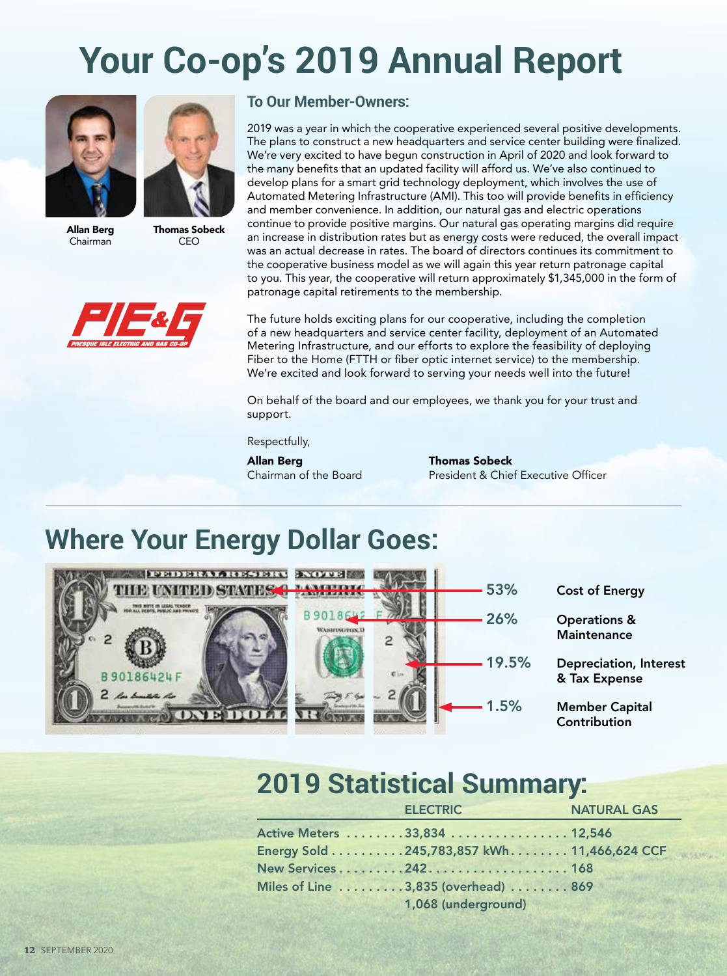# **Your Co-op's 2019 Annual Report**





Allan Berg Chairman

Thomas Sobeck CEO



#### **To Our Member-Owners:**

2019 was a year in which the cooperative experienced several positive developments. The plans to construct a new headquarters and service center building were finalized. We're very excited to have begun construction in April of 2020 and look forward to the many benefits that an updated facility will afford us. We've also continued to develop plans for a smart grid technology deployment, which involves the use of Automated Metering Infrastructure (AMI). This too will provide benefits in efficiency and member convenience. In addition, our natural gas and electric operations continue to provide positive margins. Our natural gas operating margins did require an increase in distribution rates but as energy costs were reduced, the overall impact was an actual decrease in rates. The board of directors continues its commitment to the cooperative business model as we will again this year return patronage capital to you. This year, the cooperative will return approximately \$1,345,000 in the form of patronage capital retirements to the membership.

The future holds exciting plans for our cooperative, including the completion of a new headquarters and service center facility, deployment of an Automated Metering Infrastructure, and our efforts to explore the feasibility of deploying Fiber to the Home (FTTH or fiber optic internet service) to the membership. We're excited and look forward to serving your needs well into the future!

On behalf of the board and our employees, we thank you for your trust and support.

Respectfully,

**Allan Berg Thomas Sobeck**<br>Chairman of the Board **Thomas Sobeck** 

President & Chief Executive Officer

### **Where Your Energy Dollar Goes:**



53% Cost of Energy

26% Operations & **Maintenance** 

19.5% Depreciation, Interest & Tax Expense

1.5% Member Capital **Contribution** 

#### **2019 Statistical Summary:**

| <b>ELECTRIC</b>                             | <b>NATURAL GAS</b> |  |
|---------------------------------------------|--------------------|--|
| Active Meters 33,834  12,546                |                    |  |
| Energy Sold 245,783,857 kWh. 11,466,624 CCF |                    |  |
| New Services242168                          |                    |  |
| Miles of Line 3,835 (overhead) 869          |                    |  |
| 1,068 (underground)                         |                    |  |